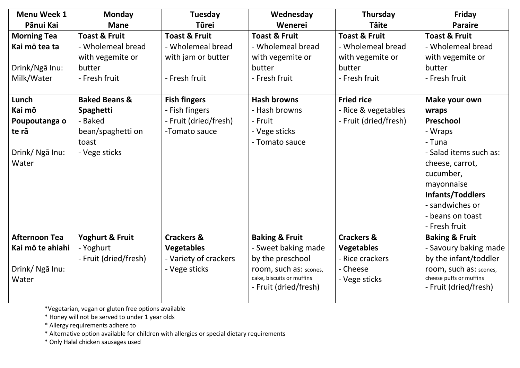| <b>Menu Week 1</b><br>Pānui Kai                                                                                                              | <b>Monday</b><br><b>Mane</b>                                                                                                                                                                    | Tuesday<br><b>Tūrei</b>                                                                                                                                                 | Wednesday<br>Wenerei                                                                                                                                                              | Thursday<br><b>Täite</b>                                                                                                                                          | Friday<br><b>Paraire</b>                                                                                                                                                                                                                                                                                     |
|----------------------------------------------------------------------------------------------------------------------------------------------|-------------------------------------------------------------------------------------------------------------------------------------------------------------------------------------------------|-------------------------------------------------------------------------------------------------------------------------------------------------------------------------|-----------------------------------------------------------------------------------------------------------------------------------------------------------------------------------|-------------------------------------------------------------------------------------------------------------------------------------------------------------------|--------------------------------------------------------------------------------------------------------------------------------------------------------------------------------------------------------------------------------------------------------------------------------------------------------------|
| <b>Morning Tea</b><br>Kai mō tea ta<br>Drink/Ngā Inu:<br>Milk/Water<br>Lunch<br>Kai mō<br>Poupoutanga o<br>te rā<br>Drink/ Nga Inu:<br>Water | <b>Toast &amp; Fruit</b><br>- Wholemeal bread<br>with vegemite or<br>butter<br>- Fresh fruit<br><b>Baked Beans &amp;</b><br>Spaghetti<br>- Baked<br>bean/spaghetti on<br>toast<br>- Vege sticks | <b>Toast &amp; Fruit</b><br>- Wholemeal bread<br>with jam or butter<br>- Fresh fruit<br><b>Fish fingers</b><br>- Fish fingers<br>- Fruit (dried/fresh)<br>-Tomato sauce | <b>Toast &amp; Fruit</b><br>- Wholemeal bread<br>with vegemite or<br>butter<br>- Fresh fruit<br><b>Hash browns</b><br>- Hash browns<br>- Fruit<br>- Vege sticks<br>- Tomato sauce | <b>Toast &amp; Fruit</b><br>- Wholemeal bread<br>with vegemite or<br>butter<br>- Fresh fruit<br><b>Fried rice</b><br>- Rice & vegetables<br>- Fruit (dried/fresh) | <b>Toast &amp; Fruit</b><br>- Wholemeal bread<br>with vegemite or<br>butter<br>- Fresh fruit<br>Make your own<br>wraps<br>Preschool<br>- Wraps<br>- Tuna<br>- Salad items such as:<br>cheese, carrot,<br>cucumber,<br>mayonnaise<br>Infants/Toddlers<br>- sandwiches or<br>- beans on toast<br>- Fresh fruit |
| <b>Afternoon Tea</b><br>Kai mō te ahiahi<br>Drink/ Ngā Inu:<br>Water                                                                         | <b>Yoghurt &amp; Fruit</b><br>- Yoghurt<br>- Fruit (dried/fresh)                                                                                                                                | <b>Crackers &amp;</b><br><b>Vegetables</b><br>- Variety of crackers<br>- Vege sticks                                                                                    | <b>Baking &amp; Fruit</b><br>- Sweet baking made<br>by the preschool<br>room, such as: scones,<br>cake, biscuits or muffins<br>- Fruit (dried/fresh)                              | <b>Crackers &amp;</b><br><b>Vegetables</b><br>- Rice crackers<br>- Cheese<br>- Vege sticks                                                                        | <b>Baking &amp; Fruit</b><br>- Savoury baking made<br>by the infant/toddler<br>room, such as: scones,<br>cheese puffs or muffins<br>- Fruit (dried/fresh)                                                                                                                                                    |

\*Vegetarian, vegan or gluten free options available

\* Honey will not be served to under 1 year olds

\* Allergy requirements adhere to

\* Alternative option available for children with allergies or special dietary requirements

\* Only Halal chicken sausages used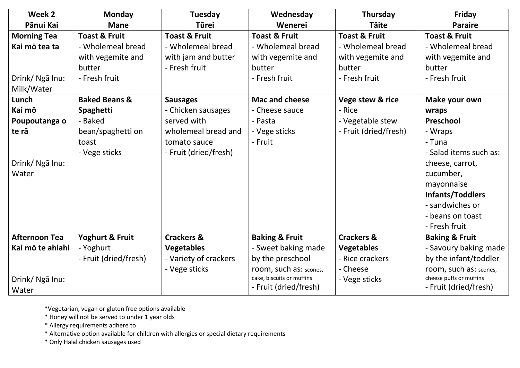| Week 2               | <b>Monday</b>            | Tuesday                  | Wednesday                 | Thursday                 | Friday                    |
|----------------------|--------------------------|--------------------------|---------------------------|--------------------------|---------------------------|
| Pānui Kai            | <b>Mane</b>              | <b>Tūrei</b>             | Wenerei                   | <b>Täite</b>             | <b>Paraire</b>            |
| <b>Morning Tea</b>   | <b>Toast &amp; Fruit</b> | <b>Toast &amp; Fruit</b> | <b>Toast &amp; Fruit</b>  | <b>Toast &amp; Fruit</b> | <b>Toast &amp; Fruit</b>  |
| Kai mō tea ta        | - Wholemeal bread        | - Wholemeal bread        | - Wholemeal bread         | - Wholemeal bread        | - Wholemeal bread         |
|                      | with vegemite and        | with jam and butter      | with vegemite and         | with vegemite and        | with vegemite and         |
|                      | butter                   | - Fresh fruit            | butter                    | butter                   | butter                    |
| Drink/ Ngā Inu:      | - Fresh fruit            |                          | - Fresh fruit             | - Fresh fruit            | - Fresh fruit             |
| Milk/Water           |                          |                          |                           |                          |                           |
| Lunch                | <b>Baked Beans &amp;</b> | <b>Sausages</b>          | <b>Mac and cheese</b>     | Vege stew & rice         | Make your own             |
| Kai mō               | Spaghetti                | - Chicken sausages       | - Cheese sauce            | - Rice                   | wraps                     |
| Poupoutanga o        | - Baked                  | served with              | - Pasta                   | - Vegetable stew         | Preschool                 |
| te rā                | bean/spaghetti on        | wholemeal bread and      | - Vege sticks             | - Fruit (dried/fresh)    | - Wraps                   |
|                      | toast                    | tomato sauce             | - Fruit                   |                          | - Tuna                    |
|                      | - Vege sticks            | - Fruit (dried/fresh)    |                           |                          | - Salad items such as:    |
| Drink/ Nga Inu:      |                          |                          |                           |                          | cheese, carrot,           |
| Water                |                          |                          |                           |                          | cucumber,                 |
|                      |                          |                          |                           |                          | mayonnaise                |
|                      |                          |                          |                           |                          | Infants/Toddlers          |
|                      |                          |                          |                           |                          | - sandwiches or           |
|                      |                          |                          |                           |                          | - beans on toast          |
|                      |                          |                          |                           |                          | - Fresh fruit             |
| <b>Afternoon Tea</b> | Yoghurt & Fruit          | <b>Crackers &amp;</b>    | <b>Baking &amp; Fruit</b> | <b>Crackers &amp;</b>    | <b>Baking &amp; Fruit</b> |
| Kai mō te ahiahi     | - Yoghurt                | <b>Vegetables</b>        | - Sweet baking made       | <b>Vegetables</b>        | - Savoury baking made     |
|                      | - Fruit (dried/fresh)    | - Variety of crackers    | by the preschool          | - Rice crackers          | by the infant/toddler     |
|                      |                          | - Vege sticks            | room, such as: scones,    | - Cheese                 | room, such as: scones,    |
| Drink/ Ngā Inu:      |                          |                          | cake, biscuits or muffins | - Vege sticks            | cheese puffs or muffins   |
| Water                |                          |                          | - Fruit (dried/fresh)     |                          | - Fruit (dried/fresh)     |

\*Vegetarian, vegan or gluten free options available

\* Honey will not be served to under 1 year olds

\* Allergy requirements adhere to

\* Alternative option available for children with allergies or special dietary requirements

\* Only Halal chicken sausages used